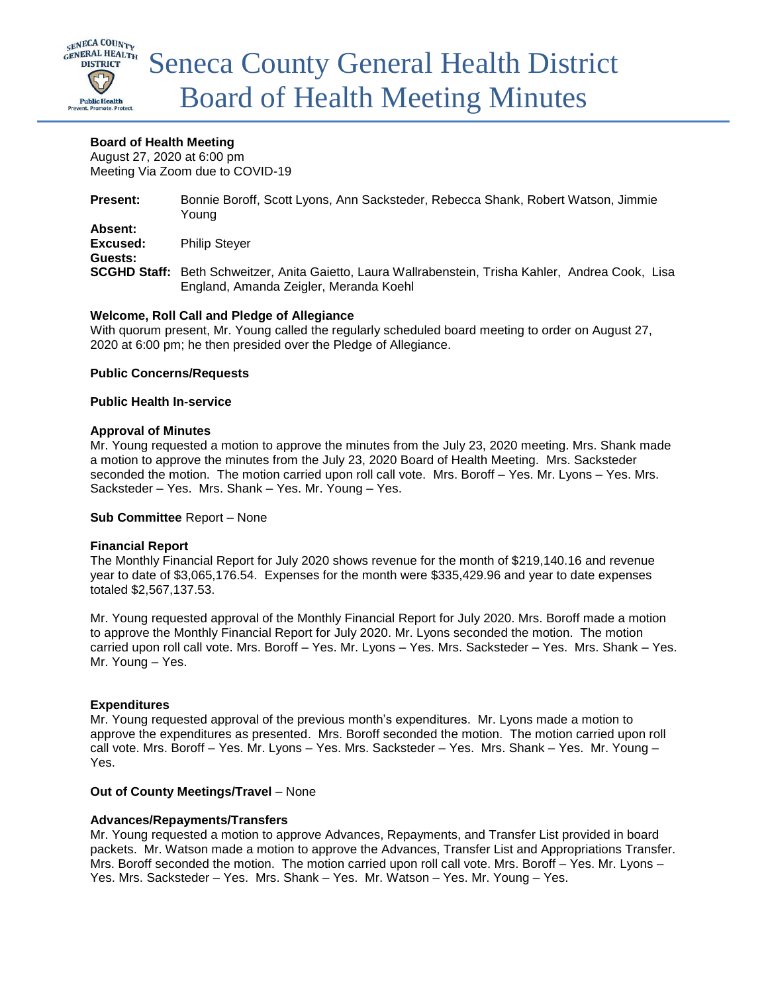

## **Board of Health Meeting**

August 27, 2020 at 6:00 pm Meeting Via Zoom due to COVID-19

| <b>Present:</b>                | Bonnie Boroff, Scott Lyons, Ann Sacksteder, Rebecca Shank, Robert Watson, Jimmie<br>Young                                                     |
|--------------------------------|-----------------------------------------------------------------------------------------------------------------------------------------------|
| Absent:<br>Excused:<br>Guests: | <b>Philip Stever</b>                                                                                                                          |
|                                | SCGHD Staff: Beth Schweitzer, Anita Gaietto, Laura Wallrabenstein, Trisha Kahler, Andrea Cook, Lisa<br>England, Amanda Zeigler, Meranda Koehl |

## **Welcome, Roll Call and Pledge of Allegiance**

With quorum present, Mr. Young called the regularly scheduled board meeting to order on August 27, 2020 at 6:00 pm; he then presided over the Pledge of Allegiance.

### **Public Concerns/Requests**

### **Public Health In-service**

## **Approval of Minutes**

Mr. Young requested a motion to approve the minutes from the July 23, 2020 meeting. Mrs. Shank made a motion to approve the minutes from the July 23, 2020 Board of Health Meeting. Mrs. Sacksteder seconded the motion. The motion carried upon roll call vote. Mrs. Boroff – Yes. Mr. Lyons – Yes. Mrs. Sacksteder – Yes. Mrs. Shank – Yes. Mr. Young – Yes.

### **Sub Committee** Report – None

### **Financial Report**

The Monthly Financial Report for July 2020 shows revenue for the month of \$219,140.16 and revenue year to date of \$3,065,176.54. Expenses for the month were \$335,429.96 and year to date expenses totaled \$2,567,137.53.

Mr. Young requested approval of the Monthly Financial Report for July 2020. Mrs. Boroff made a motion to approve the Monthly Financial Report for July 2020. Mr. Lyons seconded the motion. The motion carried upon roll call vote. Mrs. Boroff – Yes. Mr. Lyons – Yes. Mrs. Sacksteder – Yes. Mrs. Shank – Yes. Mr. Young – Yes.

## **Expenditures**

Mr. Young requested approval of the previous month's expenditures. Mr. Lyons made a motion to approve the expenditures as presented. Mrs. Boroff seconded the motion. The motion carried upon roll call vote. Mrs. Boroff – Yes. Mr. Lyons – Yes. Mrs. Sacksteder – Yes. Mrs. Shank – Yes. Mr. Young – Yes.

### **Out of County Meetings/Travel** – None

## **Advances/Repayments/Transfers**

Mr. Young requested a motion to approve Advances, Repayments, and Transfer List provided in board packets. Mr. Watson made a motion to approve the Advances, Transfer List and Appropriations Transfer. Mrs. Boroff seconded the motion. The motion carried upon roll call vote. Mrs. Boroff – Yes. Mr. Lyons – Yes. Mrs. Sacksteder – Yes. Mrs. Shank – Yes. Mr. Watson – Yes. Mr. Young – Yes.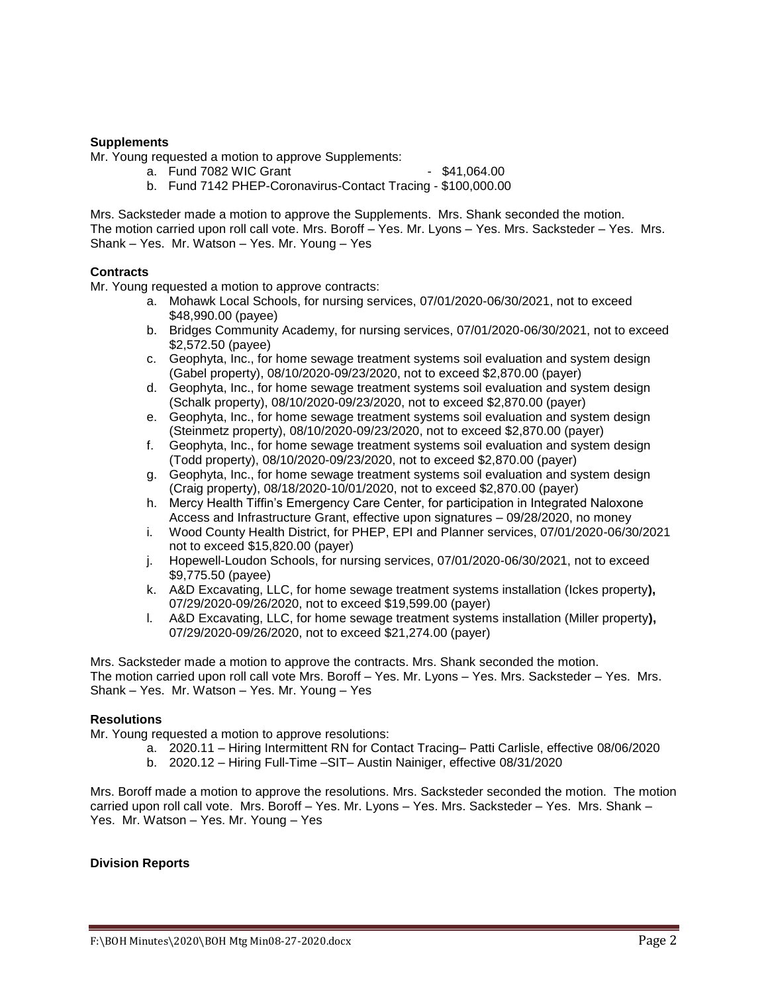## **Supplements**

Mr. Young requested a motion to approve Supplements:

- a. Fund 7082 WIC Grant 1990 \$41,064.00
- b. Fund 7142 PHEP-Coronavirus-Contact Tracing \$100,000.00

Mrs. Sacksteder made a motion to approve the Supplements. Mrs. Shank seconded the motion. The motion carried upon roll call vote. Mrs. Boroff – Yes. Mr. Lyons – Yes. Mrs. Sacksteder – Yes. Mrs. Shank – Yes. Mr. Watson – Yes. Mr. Young – Yes

### **Contracts**

Mr. Young requested a motion to approve contracts:

- a. Mohawk Local Schools, for nursing services, 07/01/2020-06/30/2021, not to exceed \$48,990.00 (payee)
- b. Bridges Community Academy, for nursing services, 07/01/2020-06/30/2021, not to exceed \$2,572.50 (payee)
- c. Geophyta, Inc., for home sewage treatment systems soil evaluation and system design (Gabel property), 08/10/2020-09/23/2020, not to exceed \$2,870.00 (payer)
- d. Geophyta, Inc., for home sewage treatment systems soil evaluation and system design (Schalk property), 08/10/2020-09/23/2020, not to exceed \$2,870.00 (payer)
- e. Geophyta, Inc., for home sewage treatment systems soil evaluation and system design (Steinmetz property), 08/10/2020-09/23/2020, not to exceed \$2,870.00 (payer)
- f. Geophyta, Inc., for home sewage treatment systems soil evaluation and system design (Todd property), 08/10/2020-09/23/2020, not to exceed \$2,870.00 (payer)
- g. Geophyta, Inc., for home sewage treatment systems soil evaluation and system design (Craig property), 08/18/2020-10/01/2020, not to exceed \$2,870.00 (payer)
- h. Mercy Health Tiffin's Emergency Care Center, for participation in Integrated Naloxone Access and Infrastructure Grant, effective upon signatures – 09/28/2020, no money
- i. Wood County Health District, for PHEP, EPI and Planner services, 07/01/2020-06/30/2021 not to exceed \$15,820.00 (payer)
- j. Hopewell-Loudon Schools, for nursing services, 07/01/2020-06/30/2021, not to exceed \$9,775.50 (payee)
- k. A&D Excavating, LLC, for home sewage treatment systems installation (Ickes property**),**  07/29/2020-09/26/2020, not to exceed \$19,599.00 (payer)
- l. A&D Excavating, LLC, for home sewage treatment systems installation (Miller property**),**  07/29/2020-09/26/2020, not to exceed \$21,274.00 (payer)

Mrs. Sacksteder made a motion to approve the contracts. Mrs. Shank seconded the motion. The motion carried upon roll call vote Mrs. Boroff – Yes. Mr. Lyons – Yes. Mrs. Sacksteder – Yes. Mrs. Shank – Yes. Mr. Watson – Yes. Mr. Young – Yes

### **Resolutions**

Mr. Young requested a motion to approve resolutions:

- a. 2020.11 Hiring Intermittent RN for Contact Tracing– Patti Carlisle, effective 08/06/2020
- b. 2020.12 Hiring Full-Time –SIT– Austin Nainiger, effective 08/31/2020

Mrs. Boroff made a motion to approve the resolutions. Mrs. Sacksteder seconded the motion. The motion carried upon roll call vote. Mrs. Boroff – Yes. Mr. Lyons – Yes. Mrs. Sacksteder – Yes. Mrs. Shank – Yes. Mr. Watson – Yes. Mr. Young – Yes

### **Division Reports**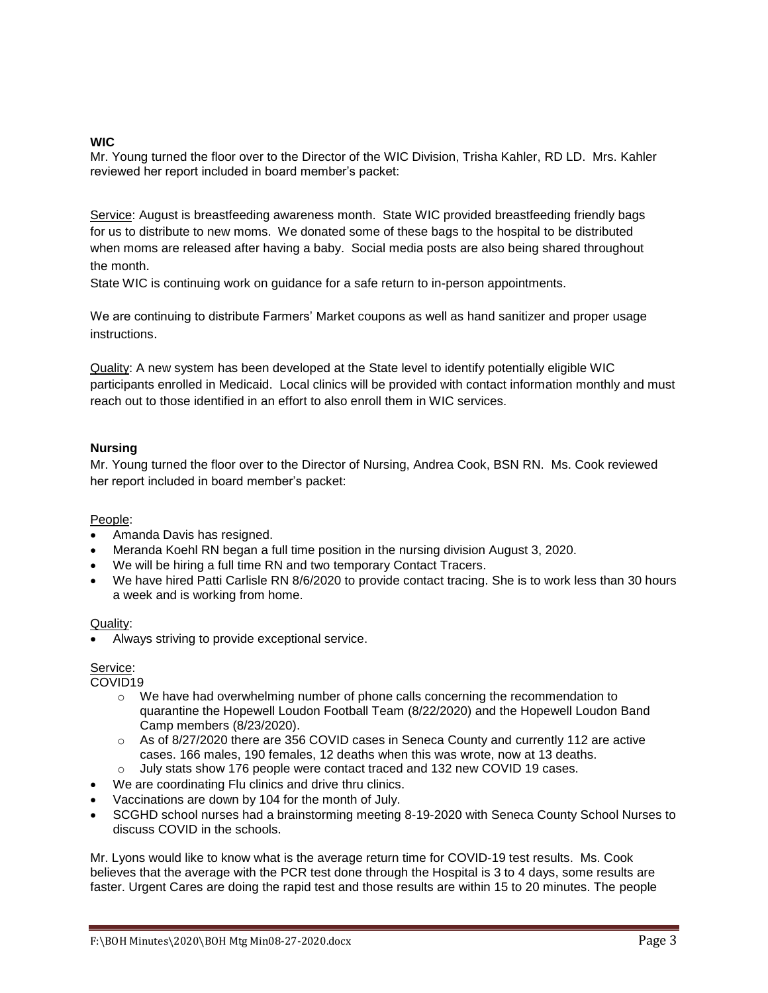## **WIC**

Mr. Young turned the floor over to the Director of the WIC Division, Trisha Kahler, RD LD. Mrs. Kahler reviewed her report included in board member's packet:

Service: August is breastfeeding awareness month. State WIC provided breastfeeding friendly bags for us to distribute to new moms. We donated some of these bags to the hospital to be distributed when moms are released after having a baby. Social media posts are also being shared throughout the month.

State WIC is continuing work on guidance for a safe return to in-person appointments.

We are continuing to distribute Farmers' Market coupons as well as hand sanitizer and proper usage instructions.

Quality: A new system has been developed at the State level to identify potentially eligible WIC participants enrolled in Medicaid. Local clinics will be provided with contact information monthly and must reach out to those identified in an effort to also enroll them in WIC services.

## **Nursing**

Mr. Young turned the floor over to the Director of Nursing, Andrea Cook, BSN RN. Ms. Cook reviewed her report included in board member's packet:

## People:

- Amanda Davis has resigned.
- Meranda Koehl RN began a full time position in the nursing division August 3, 2020.
- We will be hiring a full time RN and two temporary Contact Tracers.
- We have hired Patti Carlisle RN 8/6/2020 to provide contact tracing. She is to work less than 30 hours a week and is working from home.

### Quality:

Always striving to provide exceptional service.

## Service:

COVID19

- o We have had overwhelming number of phone calls concerning the recommendation to quarantine the Hopewell Loudon Football Team (8/22/2020) and the Hopewell Loudon Band Camp members (8/23/2020).
- o As of 8/27/2020 there are 356 COVID cases in Seneca County and currently 112 are active cases. 166 males, 190 females, 12 deaths when this was wrote, now at 13 deaths.
- o July stats show 176 people were contact traced and 132 new COVID 19 cases.
- We are coordinating Flu clinics and drive thru clinics.
- Vaccinations are down by 104 for the month of July.
- SCGHD school nurses had a brainstorming meeting 8-19-2020 with Seneca County School Nurses to discuss COVID in the schools.

Mr. Lyons would like to know what is the average return time for COVID-19 test results. Ms. Cook believes that the average with the PCR test done through the Hospital is 3 to 4 days, some results are faster. Urgent Cares are doing the rapid test and those results are within 15 to 20 minutes. The people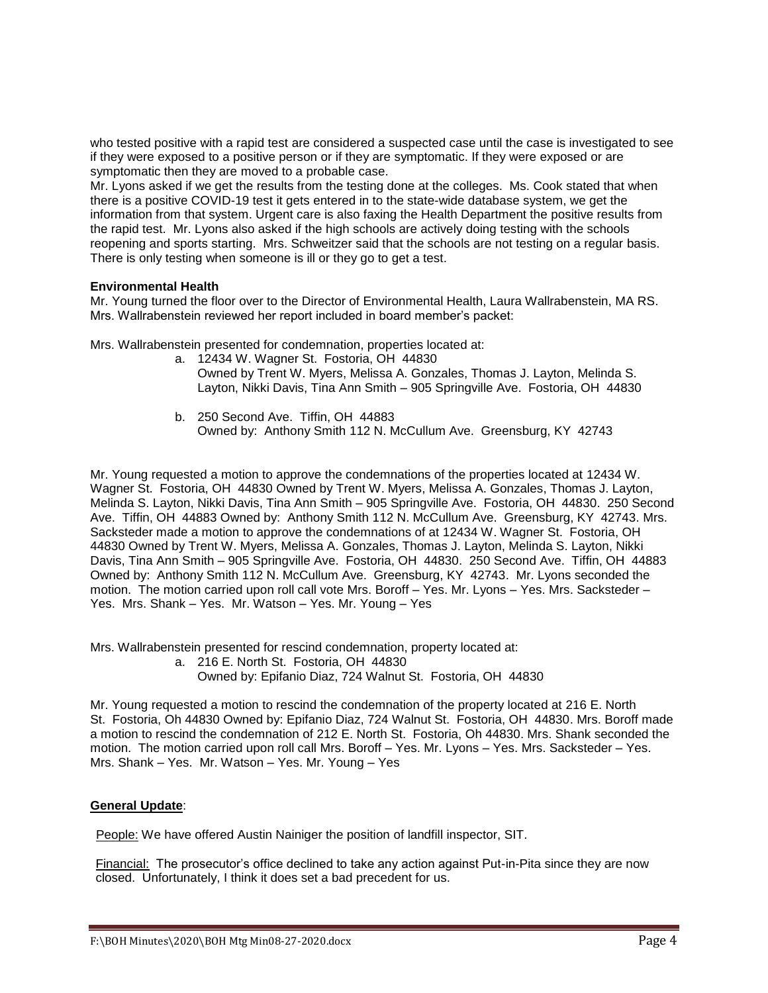who tested positive with a rapid test are considered a suspected case until the case is investigated to see if they were exposed to a positive person or if they are symptomatic. If they were exposed or are symptomatic then they are moved to a probable case.

Mr. Lyons asked if we get the results from the testing done at the colleges. Ms. Cook stated that when there is a positive COVID-19 test it gets entered in to the state-wide database system, we get the information from that system. Urgent care is also faxing the Health Department the positive results from the rapid test. Mr. Lyons also asked if the high schools are actively doing testing with the schools reopening and sports starting. Mrs. Schweitzer said that the schools are not testing on a regular basis. There is only testing when someone is ill or they go to get a test.

## **Environmental Health**

Mr. Young turned the floor over to the Director of Environmental Health, Laura Wallrabenstein, MA RS. Mrs. Wallrabenstein reviewed her report included in board member's packet:

Mrs. Wallrabenstein presented for condemnation, properties located at:

- a. 12434 W. Wagner St. Fostoria, OH 44830 Owned by Trent W. Myers, Melissa A. Gonzales, Thomas J. Layton, Melinda S. Layton, Nikki Davis, Tina Ann Smith – 905 Springville Ave. Fostoria, OH 44830
- b. 250 Second Ave. Tiffin, OH 44883 Owned by: Anthony Smith 112 N. McCullum Ave. Greensburg, KY 42743

Mr. Young requested a motion to approve the condemnations of the properties located at 12434 W. Wagner St. Fostoria, OH 44830 Owned by Trent W. Myers, Melissa A. Gonzales, Thomas J. Layton, Melinda S. Layton, Nikki Davis, Tina Ann Smith – 905 Springville Ave. Fostoria, OH 44830. 250 Second Ave. Tiffin, OH 44883 Owned by: Anthony Smith 112 N. McCullum Ave. Greensburg, KY 42743. Mrs. Sacksteder made a motion to approve the condemnations of at 12434 W. Wagner St. Fostoria, OH 44830 Owned by Trent W. Myers, Melissa A. Gonzales, Thomas J. Layton, Melinda S. Layton, Nikki Davis, Tina Ann Smith – 905 Springville Ave. Fostoria, OH 44830. 250 Second Ave. Tiffin, OH 44883 Owned by: Anthony Smith 112 N. McCullum Ave. Greensburg, KY 42743. Mr. Lyons seconded the motion. The motion carried upon roll call vote Mrs. Boroff – Yes. Mr. Lyons – Yes. Mrs. Sacksteder – Yes. Mrs. Shank – Yes. Mr. Watson – Yes. Mr. Young – Yes

Mrs. Wallrabenstein presented for rescind condemnation, property located at:

a. 216 E. North St. Fostoria, OH 44830

Owned by: Epifanio Diaz, 724 Walnut St. Fostoria, OH 44830

Mr. Young requested a motion to rescind the condemnation of the property located at 216 E. North St. Fostoria, Oh 44830 Owned by: Epifanio Diaz, 724 Walnut St. Fostoria, OH 44830. Mrs. Boroff made a motion to rescind the condemnation of 212 E. North St. Fostoria, Oh 44830. Mrs. Shank seconded the motion. The motion carried upon roll call Mrs. Boroff – Yes. Mr. Lyons – Yes. Mrs. Sacksteder – Yes. Mrs. Shank – Yes. Mr. Watson – Yes. Mr. Young – Yes

## **General Update**:

People: We have offered Austin Nainiger the position of landfill inspector, SIT.

Financial:The prosecutor's office declined to take any action against Put-in-Pita since they are now closed. Unfortunately, I think it does set a bad precedent for us.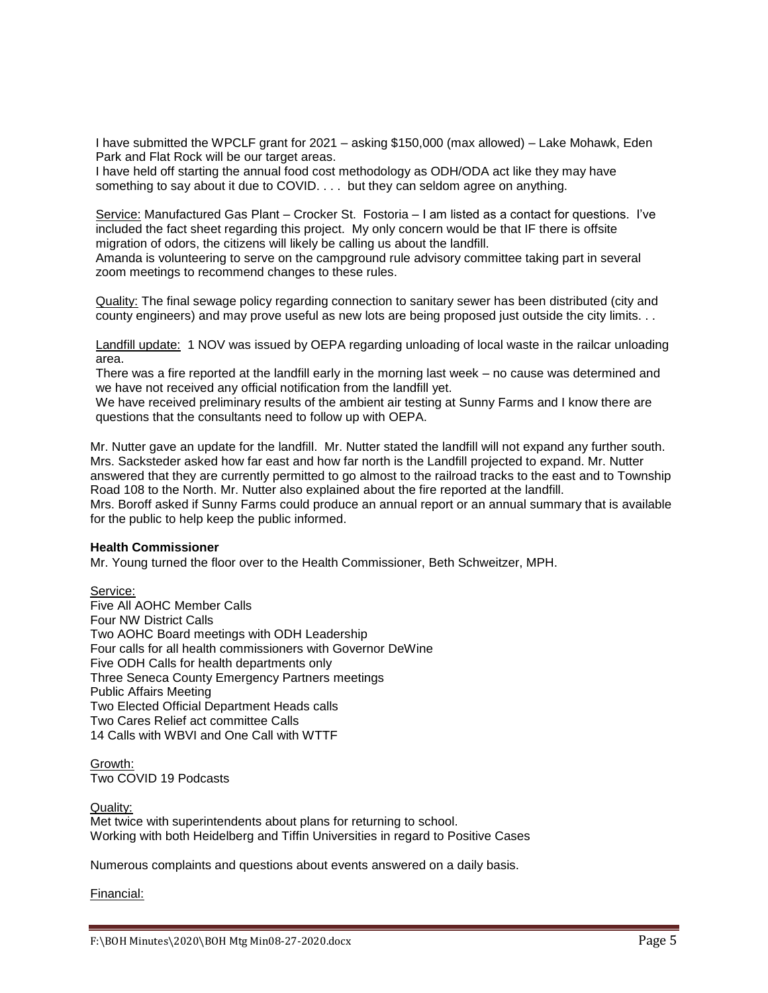I have submitted the WPCLF grant for 2021 – asking \$150,000 (max allowed) – Lake Mohawk, Eden Park and Flat Rock will be our target areas.

I have held off starting the annual food cost methodology as ODH/ODA act like they may have something to say about it due to COVID. . . . but they can seldom agree on anything.

Service: Manufactured Gas Plant – Crocker St. Fostoria – I am listed as a contact for questions. I've included the fact sheet regarding this project. My only concern would be that IF there is offsite migration of odors, the citizens will likely be calling us about the landfill.

Amanda is volunteering to serve on the campground rule advisory committee taking part in several zoom meetings to recommend changes to these rules.

Quality: The final sewage policy regarding connection to sanitary sewer has been distributed (city and county engineers) and may prove useful as new lots are being proposed just outside the city limits. . .

Landfill update:1 NOV was issued by OEPA regarding unloading of local waste in the railcar unloading area.

There was a fire reported at the landfill early in the morning last week – no cause was determined and we have not received any official notification from the landfill yet.

We have received preliminary results of the ambient air testing at Sunny Farms and I know there are questions that the consultants need to follow up with OEPA.

Mr. Nutter gave an update for the landfill. Mr. Nutter stated the landfill will not expand any further south. Mrs. Sacksteder asked how far east and how far north is the Landfill projected to expand. Mr. Nutter answered that they are currently permitted to go almost to the railroad tracks to the east and to Township Road 108 to the North. Mr. Nutter also explained about the fire reported at the landfill. Mrs. Boroff asked if Sunny Farms could produce an annual report or an annual summary that is available for the public to help keep the public informed.

#### **Health Commissioner**

Mr. Young turned the floor over to the Health Commissioner, Beth Schweitzer, MPH.

Service: Five All AOHC Member Calls Four NW District Calls Two AOHC Board meetings with ODH Leadership Four calls for all health commissioners with Governor DeWine Five ODH Calls for health departments only Three Seneca County Emergency Partners meetings Public Affairs Meeting Two Elected Official Department Heads calls Two Cares Relief act committee Calls 14 Calls with WBVI and One Call with WTTF

Growth: Two COVID 19 Podcasts

Quality: Met twice with superintendents about plans for returning to school. Working with both Heidelberg and Tiffin Universities in regard to Positive Cases

Numerous complaints and questions about events answered on a daily basis.

Financial: